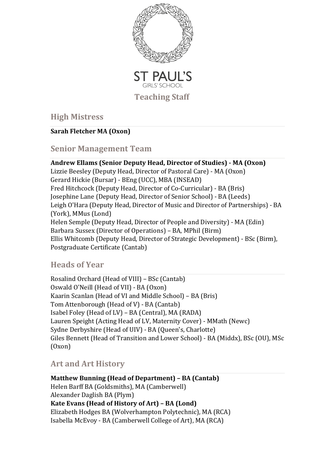

**High Mistres[s](https://spgs.org/about/staff/)**

#### **Sarah [Fletcher](https://spgs.org/about/staff/) MA (Oxon)**

# **Senior Management Tea[m](https://spgs.org/about/staff/)**

#### **Andrew Ellams (Senior Deputy Head, [Director](https://spgs.org/about/staff/) of Studies) - MA (Oxon)** Lizzie Beesley (Deputy Head, Director of Pastoral Care) - MA (Oxon) Gerard Hickie (Bursar) - BEng (UCC), MBA (INSEAD) Fred Hitchcock (Deputy Head, Director of Co-Curricular) - BA (Bris) Josephine Lane (Deputy Head, Director of Senior School) - BA (Leeds) Leigh O'Hara (Deputy Head, Director of Music and Director of Partnerships) - BA (York), MMus (Lond) Helen Semple (Deputy Head, Director of People and Diversity) - MA (Edin) Barbara Sussex (Director of Operations) – BA, MPhil (Birm) Ellis Whitcomb (Deputy Head, Director of Strategic Development) - BSc (Birm), Postgraduate Certificate (Cantab)

# **Heads of Year**

Rosalind Orchard (Head of VIII) – BSc (Cantab) Oswald O'Neill (Head of VII) - BA (Oxon) Kaarin Scanlan (Head of VI and Middle School) – BA (Bris) Tom Attenborough (Head of V) - BA (Cantab) Isabel Foley (Head of LV) – BA (Central), MA (RADA) Lauren Speight (Acting Head of LV, Maternity Cover) - MMath (Newc) Sydne Derbyshire (Head of UIV) - BA (Queen's, Charlotte) Giles Bennett (Head of Transition and Lower School) - BA (Middx), BSc (OU), MSc (Oxon)

# **Art and Art History**

**Matthew Bunning (Head of Department) – BA (Cantab)** Helen Barff BA (Goldsmiths), MA (Camberwell) Alexander Daglish BA (Plym) **Kate Evans (Head of History of Art) – BA (Lond)** Elizabeth Hodges BA (Wolverhampton Polytechnic), MA (RCA) Isabella McEvoy - BA (Camberwell College of Art), MA (RCA)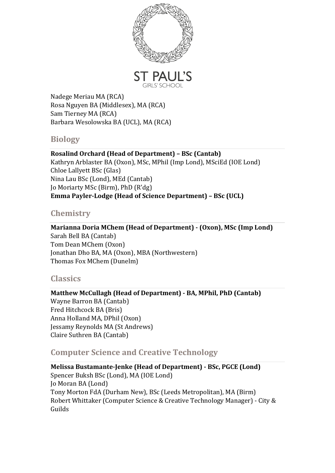

Nadege Meriau MA (RCA) Rosa Nguyen BA (Middlesex), MA (RCA) Sam Tierney MA (RCA) Barbara Wesolowska BA (UCL), MA (RCA)

# **Biology**

**Rosalind Orchard (Head of Department) – BSc (Cantab)** Kathryn Arblaster BA (Oxon), MSc, MPhil (Imp Lond), MSciEd (IOE Lond) Chloe Lallyett BSc (Glas) Nina Lau BSc (Lond), MEd (Cantab) Jo Moriarty MSc (Birm), PhD (R'dg) **Emma Payler-Lodge (Head of Science Department) – BSc (UCL)**

# **Chemistry**

**Marianna Doria MChem (Head of Department) - (Oxon), MSc (Imp Lond)** Sarah Bell BA (Cantab) Tom Dean MChem (Oxon) Jonathan Dho BA, MA (Oxon), MBA (Northwestern) Thomas Fox MChem (Dunelm)

# **Classics**

**Matthew McCullagh (Head of Department) - BA, MPhil, PhD (Cantab)** Wayne Barron BA (Cantab) Fred Hitchcock BA (Bris) Anna Holland MA, DPhil (Oxon) Jessamy Reynolds MA (St Andrews) Claire Suthren BA (Cantab)

# **Computer Science and Creative Technology**

**Melissa Bustamante-Jenke (Head of Department) - BSc, PGCE (Lond)** Spencer Buksh BSc (Lond), MA (IOE Lond) Jo Moran BA (Lond) Tony Morton FdA (Durham New), BSc (Leeds Metropolitan), MA (Birm) Robert Whittaker (Computer Science & Creative Technology Manager) - City & Guilds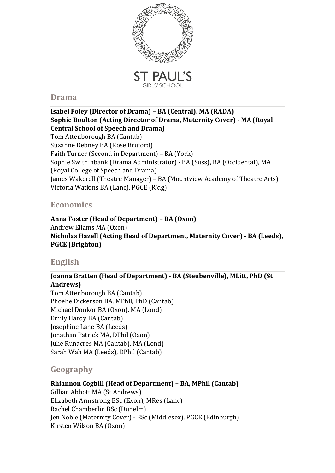

#### **Drama**

#### **Isabel Foley (Director of Drama) – BA (Central), MA (RADA) Sophie Boulton (Acting Director of Drama, Maternity Cover) - MA (Royal Central School of Speech and Drama)** Tom Attenborough BA (Cantab) Suzanne Debney BA (Rose Bruford) Faith Turner (Second in Department) – BA (York) Sophie Swithinbank (Drama Administrator) - BA (Suss), BA (Occidental), MA (Royal College of Speech and Drama) James Wakerell (Theatre Manager) – BA (Mountview Academy of Theatre Arts) Victoria Watkins BA (Lanc), PGCE (R'dg)

## **Economics**

**Anna Foster (Head of Department) – BA (Oxon)** Andrew Ellams MA (Oxon) **Nicholas Hazell (Acting Head of Department, Maternity Cover) - BA (Leeds), PGCE (Brighton)**

# **English**

## **Joanna Bratten (Head of Department) - BA (Steubenville), MLitt, PhD (St Andrews)**

Tom Attenborough BA (Cantab) Phoebe Dickerson BA, MPhil, PhD (Cantab) Michael Donkor BA (Oxon), MA (Lond) Emily Hardy BA (Cantab) Josephine Lane BA (Leeds) Jonathan Patrick MA, DPhil (Oxon) Julie Runacres MA (Cantab), MA (Lond) Sarah Wah MA (Leeds), DPhil (Cantab)

## **Geography**

## **Rhiannon Cogbill (Head of Department) – BA, MPhil (Cantab)**

Gillian Abbott MA (St Andrews) Elizabeth Armstrong BSc (Exon), MRes (Lanc) Rachel Chamberlin BSc (Dunelm) Jen Noble (Maternity Cover) - BSc (Middlesex), PGCE (Edinburgh) Kirsten Wilson BA (Oxon)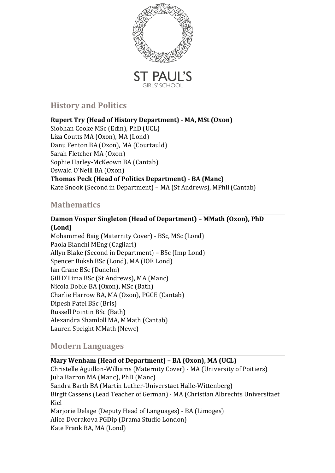

# **History and Politics**

**Rupert Try (Head of History Department) - MA, MSt (Oxon)** Siobhan Cooke MSc (Edin), PhD (UCL) Liza Coutts MA (Oxon), MA (Lond) Danu Fenton BA (Oxon), MA (Courtauld) Sarah Fletcher MA (Oxon) Sophie Harley-McKeown BA (Cantab) Oswald O'Neill BA (Oxon) **Thomas Peck (Head of Politics Department) - BA (Manc)** Kate Snook (Second in Department) – MA (St Andrews), MPhil (Cantab)

# **Mathematics**

#### **Damon Vosper Singleton (Head of Department) – MMath (Oxon), PhD (Lond)**

Mohammed Baig (Maternity Cover) - BSc, MSc (Lond) Paola Bianchi MEng (Cagliari) Allyn Blake (Second in Department) – BSc (Imp Lond) Spencer Buksh BSc (Lond), MA (IOE Lond) Ian Crane BSc (Dunelm) Gill D'Lima BSc (St Andrews), MA (Manc) Nicola Doble BA (Oxon), MSc (Bath) Charlie Harrow BA, MA (Oxon), PGCE (Cantab) Dipesh Patel BSc (Bris) Russell Pointin BSc (Bath) Alexandra Shamloll MA, MMath (Cantab) Lauren Speight MMath (Newc)

## **Modern Languages**

**Mary Wenham (Head of Department) – BA (Oxon), MA (UCL)** Christelle Aguillon-Williams (Maternity Cover) - MA (University of Poitiers) Julia Barron MA (Manc), PhD (Manc) Sandra Barth BA (Martin Luther-Universtaet Halle-Wittenberg) Birgit Cassens (Lead Teacher of German) - MA (Christian Albrechts Universitaet Kiel Marjorie Delage (Deputy Head of Languages) - BA (Limoges) Alice Dvorakova PGDip (Drama Studio London) Kate Frank BA, MA (Lond)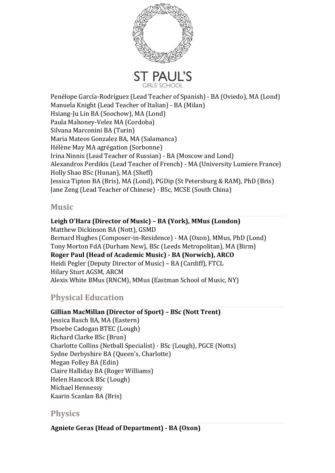

Penélope García-Rodríguez (Lead Teacher of Spanish) - BA (Oviedo), MA (Lond) Manuela Knight (Lead Teacher of Italian) - BA (Milan) Hsiang-Ju Lin BA (Soochow), MA (Lond) Paula Mahoney-Velez MA (Cordoba) Silvana Marconini BA (Turin) Maria Mateos Gonzalez BA, MA (Salamanca) Hélène May MA agrégation (Sorbonne) Irina Ninnis (Lead Teacher of Russian) - BA (Moscow and Lond) Alexandros Perdikis (Lead Teacher of French) - MA (University Lumiere France) Holly Shao BSc (Hunan), MA (Sheff) Jessica Tipton BA (Bris), MA (Lond), PGDip (St Petersburg & RAM), PhD (Bris) Jane Zeng (Lead Teacher of Chinese) - BSc, MCSE (South China)

#### **Music**

**Leigh O'Hara (Director of Music) – BA (York), MMus (London)** Matthew Dickinson BA (Nott), GSMD Bernard Hughes (Composer-in-Residence) - MA (Oxon), MMus, PhD (Lond) Tony Morton FdA (Durham New), BSc (Leeds Metropolitan), MA (Birm) **Roger Paul (Head of Academic Music) - BA (Norwich), ARCO** Heidi Pegler (Deputy Director of Music) – BA (Cardiff), FTCL Hilary Sturt AGSM, ARCM Alexis White BMus (RNCM), MMus (Eastman School of Music, NY)

# **Physical Education**

**Gillian MacMillan (Director of Sport) – BSc (Nott Trent)** Jessica Basch BA, MA (Eastern) Phoebe Cadogan BTEC (Lough) Richard Clarke BSc (Brun) Charlotte Collins (Netball Specialist) - BSc (Lough), PGCE (Notts) Sydne Derbyshire BA (Queen's, Charlotte) Megan Folley BA (Edin) Claire Halliday BA (Roger Williams) Helen Hancock BSc (Lough) Michael Hennessy Kaarin Scanlan BA (Bris)

#### **Physics**

**Agniete Geras (Head of Department) - BA (Oxon)**